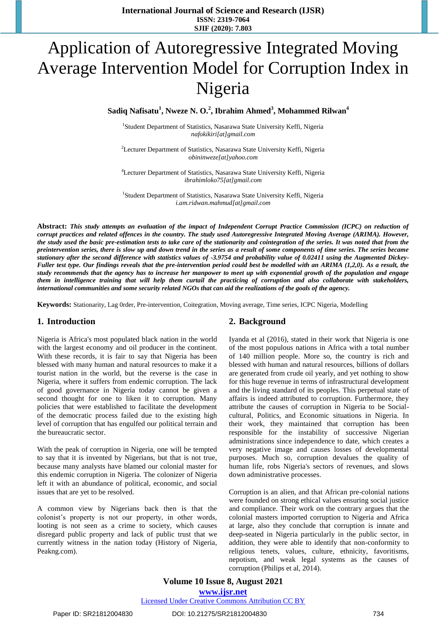# Application of Autoregressive Integrated Moving Average Intervention Model for Corruption Index in Nigeria

**Sadiq Nafisatu<sup>1</sup> , Nweze N. O.<sup>2</sup> , Ibrahim Ahmed<sup>3</sup> , Mohammed Rilwan<sup>4</sup>**

<sup>1</sup>Student Department of Statistics, Nasarawa State University Keffi, Nigeria *[nafokikiri\[at\]gmail.com](mailto:nafokikiri@gmail.com)*

<sup>2</sup>Lecturer Department of Statistics, Nasarawa State University Keffi, Nigeria *[obininweze\[at\]yahoo.com](mailto:obininweze@yahoo.com)*

<sup>4</sup>Lecturer Department of Statistics, Nasarawa State University Keffi, Nigeria *[ibrahimloko75\[at\]gmail.com](mailto:ibrahimloko75@gmail.com)*

<sup>1</sup>Student Department of Statistics, Nasarawa State University Keffi, Nigeria *[i.am.ridwan.mahmud\[at\]gmail.com](mailto:i.am.ridwan.mahmud@gmail.com)*

**Abstract:** *This study attempts an evaluation of the impact of Independent Corrupt Practice Commission (ICPC) on reduction of corrupt practices and related offences in the country. The study used Autoregressive Integrated Moving Average (ARIMA). However, the study used the basic pre-estimation tests to take care of the stationarity and cointegration of the series. It was noted that from the preintervention series, there is slow up and down trend in the series as a result of some components of time series. The series became stationary after the second difference with statistics values of -3.9754 and probability value of 0.02411 using the Augmented Dickey-Fuller test type. Our findings reveals that the pre-intervention period could best be modelled with an ARIMA (1,2,0). As a result, the study recommends that the agency has to increase her manpower to meet up with exponential growth of the population and engage them in intelligence training that will help them curtail the practicing of corruption and also collaborate with stakeholders, international communities and some security related NGOs that can aid the realizations of the goals of the agency.*

**Keywords:** Stationarity, Lag 0rder, Pre-intervention, Coitegration, Moving average, Time series, ICPC Nigeria, Modelling

### **1. Introduction**

Nigeria is Africa's most populated black nation in the world with the largest economy and oil producer in the continent. With these records, it is fair to say that Nigeria has been blessed with many human and natural resources to make it a tourist nation in the world, but the reverse is the case in Nigeria, where it suffers from endemic corruption. The lack of good governance in Nigeria today cannot be given a second thought for one to liken it to corruption. Many policies that were established to facilitate the development of the democratic process failed due to the existing high level of corruption that has engulfed our political terrain and the bureaucratic sector.

With the peak of corruption in Nigeria, one will be tempted to say that it is invented by Nigerians, but that is not true, because many analysts have blamed our colonial master for this endemic corruption in Nigeria. The colonizer of Nigeria left it with an abundance of political, economic, and social issues that are yet to be resolved.

A common view by Nigerians back then is that the colonist's property is not our property, in other words, looting is not seen as a crime to society, which causes disregard public property and lack of public trust that we currently witness in the nation today (History of Nigeria, Peakng.com).

### **2. Background**

Iyanda et al (2016), stated in their work that Nigeria is one of the most populous nations in Africa with a total number of 140 million people. More so, the country is rich and blessed with human and natural resources, billions of dollars are generated from crude oil yearly, and yet nothing to show for this huge revenue in terms of infrastructural development and the living standard of its peoples. This perpetual state of affairs is indeed attributed to corruption. Furthermore, they attribute the causes of corruption in Nigeria to be Socialcultural, Politics, and Economic situations in Nigeria. In their work, they maintained that corruption has been responsible for the instability of successive Nigerian administrations since independence to date, which creates a very negative image and causes losses of developmental purposes. Much so, corruption devalues the quality of human life, robs Nigeria's sectors of revenues, and slows down administrative processes.

Corruption is an alien, and that African pre-colonial nations were founded on strong ethical values ensuring social justice and compliance. Their work on the contrary argues that the colonial masters imported corruption to Nigeria and Africa at large, also they conclude that corruption is innate and deep-seated in Nigeria particularly in the public sector, in addition, they were able to identify that non-conformity to religious tenets, values, culture, ethnicity, favoritisms, nepotism, and weak legal systems as the causes of corruption (Philips et al, 2014).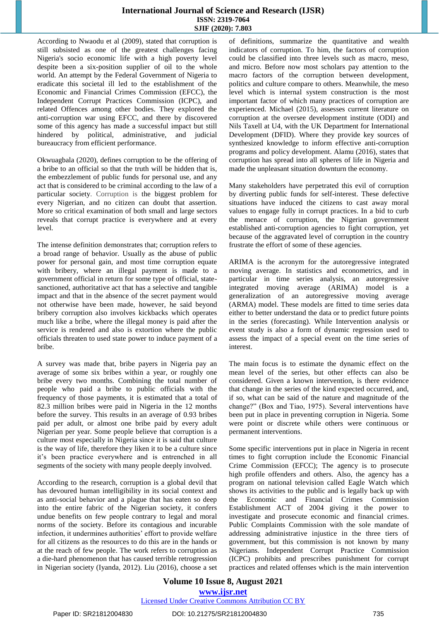According to Nwaodu et al (2009), stated that corruption is still subsisted as one of the greatest challenges facing Nigeria's socio economic life with a high poverty level despite been a six-position supplier of oil to the whole world. An attempt by the Federal Government of Nigeria to eradicate this societal ill led to the establishment of the Economic and Financial Crimes Commission (EFCC), the Independent Corrupt Practices Commission (ICPC), and related Offences among other bodies. They explored the anti-corruption war using EFCC, and there by discovered some of this agency has made a successful impact but still hindered by political, administrative, and judicial bureaucracy from efficient performance.

Okwuagbala (2020), defines corruption to be the offering of a bribe to an official so that the truth will be hidden that is, the embezzlement of public funds for personal use, and any act that is considered to be criminal according to the law of a particular society. Corruption is the biggest problem for every Nigerian, and no citizen can doubt that assertion. More so critical examination of both small and large sectors reveals that corrupt practice is everywhere and at every level.

The intense definition demonstrates that; corruption refers to a broad range of behavior. Usually as the abuse of public power for personal gain, and most time corruption equate with bribery, where an illegal payment is made to a government official in return for some type of official, statesanctioned, authoritative act that has a selective and tangible impact and that in the absence of the secret payment would not otherwise have been made, however, he said beyond bribery corruption also involves kickbacks which operates much like a bribe, where the illegal money is paid after the service is rendered and also is extortion where the public officials threaten to used state power to induce payment of a bribe.

A survey was made that, bribe payers in Nigeria pay an average of some six bribes within a year, or roughly one bribe every two months. Combining the total number of people who paid a bribe to public officials with the frequency of those payments, it is estimated that a total of 82.3 million bribes were paid in Nigeria in the 12 months before the survey. This results in an average of 0.93 bribes paid per adult, or almost one bribe paid by every adult Nigerian per year. Some people believe that corruption is a culture most especially in Nigeria since it is said that culture is the way of life, therefore they liken it to be a culture since it's been practice everywhere and is entrenched in all segments of the society with many people deeply involved.

According to the research, corruption is a global devil that has devoured human intelligibility in its social context and as anti-social behavior and a plague that has eaten so deep into the entire fabric of the Nigerian society, it confers undue benefits on few people contrary to legal and moral norms of the society. Before its contagious and incurable infection, it undermines authorities' effort to provide welfare for all citizens as the resources to do this are in the hands or at the reach of few people. The work refers to corruption as a die-hard phenomenon that has caused terrible retrogression in Nigerian society (Iyanda, 2012). Liu (2016), choose a set

of definitions, summarize the quantitative and wealth indicators of corruption. To him, the factors of corruption could be classified into three levels such as macro, meso, and micro. Before now most scholars pay attention to the macro factors of the corruption between development, politics and culture compare to others. Meanwhile, the meso level which is internal system construction is the most important factor of which many practices of corruption are experienced. Michael (2015), assesses current literature on corruption at the oversee development institute (ODI) and Nils Taxell at U4, with the UK Department for International Development (DFID). Where they provide key sources of synthesized knowledge to inform effective anti-corruption programs and policy development. Alamu (2016), states that corruption has spread into all spheres of life in Nigeria and made the unpleasant situation downturn the economy.

Many stakeholders have perpetrated this evil of corruption by diverting public funds for self-interest. These defective situations have induced the citizens to cast away moral values to engage fully in corrupt practices. In a bid to curb the menace of corruption, the Nigerian government established anti-corruption agencies to fight corruption, yet because of the aggravated level of corruption in the country frustrate the effort of some of these agencies.

ARIMA is the acronym for the autoregressive integrated moving average. In statistics and econometrics, and in particular in time series analysis, an autoregressive integrated moving average (ARIMA) model is a generalization of an autoregressive moving average (ARMA) model. These models are fitted to time series data either to better understand the data or to predict future points in the series (forecasting). While Intervention analysis or event study is also a form of dynamic regression used to assess the impact of a special event on the time series of interest.

The main focus is to estimate the dynamic effect on the mean level of the series, but other effects can also be considered. Given a known intervention, is there evidence that change in the series of the kind expected occurred, and, if so, what can be said of the nature and magnitude of the change?" (Box and Tiao, 1975). Several interventions have been put in place in preventing corruption in Nigeria. Some were point or discrete while others were continuous or permanent interventions.

Some specific interventions put in place in Nigeria in recent times to fight corruption include the Economic Financial Crime Commission (EFCC); The agency is to prosecute high profile offenders and others. Also, the agency has a program on national television called Eagle Watch which shows its activities to the public and is legally back up with the Economic and Financial Crimes Commission Establishment ACT of 2004 giving it the power to investigate and prosecute economic and financial crimes. Public Complaints Commission with the sole mandate of addressing administrative injustice in the three tiers of government, but this commission is not known by many Nigerians. Independent Corrupt Practice Commission (ICPC) prohibits and prescribes punishment for corrupt practices and related offenses which is the main intervention

### **Volume 10 Issue 8, August 2021 www.ijsr.net**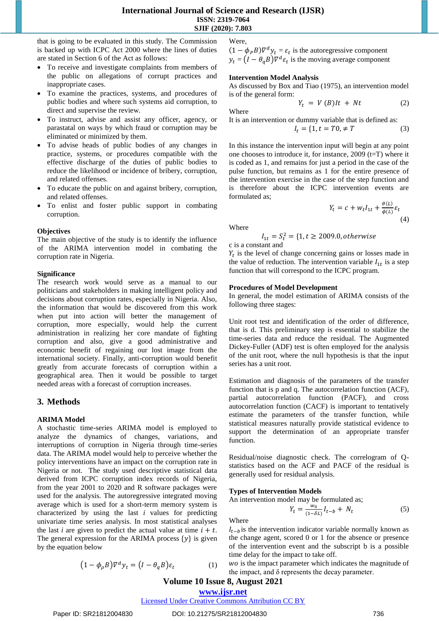that is going to be evaluated in this study. The Commission is backed up with ICPC Act 2000 where the lines of duties are stated in Section 6 of the Act as follows:

- To receive and investigate complaints from members of the public on allegations of corrupt practices and inappropriate cases.
- To examine the practices, systems, and procedures of public bodies and where such systems aid corruption, to direct and supervise the review.
- To instruct, advise and assist any officer, agency, or parastatal on ways by which fraud or corruption may be eliminated or minimized by them.
- To advise heads of public bodies of any changes in practice, systems, or procedures compatible with the effective discharge of the duties of public bodies to reduce the likelihood or incidence of bribery, corruption, and related offenses.
- To educate the public on and against bribery, corruption, and related offenses.
- To enlist and foster public support in combating corruption.

### **Objectives**

The main objective of the study is to identify the influence of the ARIMA intervention model in combating the corruption rate in Nigeria.

### **Significance**

The research work would serve as a manual to our politicians and stakeholders in making intelligent policy and decisions about corruption rates, especially in Nigeria. Also, the information that would be discovered from this work when put into action will better the management of corruption, more especially, would help the current administration in realizing her core mandate of fighting corruption and also, give a good administrative and economic benefit of regaining our lost image from the international society. Finally, anti-corruption would benefit greatly from accurate forecasts of corruption within a geographical area. Then it would be possible to target needed areas with a forecast of corruption increases.

### **3. Methods**

### **ARIMA Model**

A stochastic time-series ARIMA model is employed to analyze the dynamics of changes, variations, and interruptions of corruption in Nigeria through time-series data. The ARIMA model would help to perceive whether the policy interventions have an impact on the corruption rate in Nigeria or not. The study used descriptive statistical data derived from ICPC corruption index records of Nigeria, from the year 2001 to 2020 and R software packages were used for the analysis. The autoregressive integrated moving average which is used for a short-term memory system is characterized by using the last *i* values for predicting univariate time series analysis. In most statistical analyses the last *i* are given to predict the actual value at time  $i + t$ . The general expression for the ARIMA process  $\{y\}$  is given by the equation below

$$
(1 - \phi_o B)\nabla^d y_t = (I - \theta_a B)\varepsilon_t \tag{1}
$$

Were,

 $(1 - \phi_P B) \nabla^d y_t = \varepsilon_t$  is the autoregressive component  $y_t = (I - \theta_a B) \nabla^d \varepsilon_t$  is the moving average component

#### **Intervention Model Analysis**

As discussed by Box and Tiao (1975), an intervention model is of the general form:

Where

It is an intervention or dummy variable that is defined as:

$$
I_t = \{1, t = T0, \neq T \tag{3}
$$

 $Y_t = V(B)lt + Nt$  (2)

In this instance the intervention input will begin at any point one chooses to introduce it, for instance,  $2009$  (t=T) where it is coded as 1, and remains for just a period in the case of the pulse function, but remains as 1 for the entire presence of the intervention exercise in the case of the step function and is therefore about the ICPC intervention events are formulated as;

$$
Y_t = c + w_t I_{1t} + \frac{\theta(L)}{\phi(L)} \varepsilon_t
$$
\n(4)

Where

$$
I_{1t} = S_t^2 = \{1, t \ge 2009.0, otherwise
$$

c is a constant and

 $Y_t$  is the level of change concerning gains or losses made in the value of reduction. The intervention variable  $I_{1t}$  is a step function that will correspond to the ICPC program.

#### **Procedures of Model Development**

In general, the model estimation of ARIMA consists of the following three stages:

Unit root test and identification of the order of difference, that is d. This preliminary step is essential to stabilize the time-series data and reduce the residual. The Augmented Dickey-Fuller (ADF) test is often employed for the analysis of the unit root, where the null hypothesis is that the input series has a unit root.

Estimation and diagnosis of the parameters of the transfer function that is p and q. The autocorrelation function (ACF), partial autocorrelation function (PACF), and cross autocorrelation function (CACF) is important to tentatively estimate the parameters of the transfer function, while statistical measures naturally provide statistical evidence to support the determination of an appropriate transfer function.

Residual/noise diagnostic check. The correlogram of Qstatistics based on the ACF and PACF of the residual is generally used for residual analysis.

#### **Types of Intervention Models**

An intervention model may be formulated as;

$$
Y_t = \frac{w_0}{(1 - \delta L)} I_{t-b} + N_t \tag{5}
$$

Where

 $I_{t-h}$  is the intervention indicator variable normally known as the change agent, scored 0 or 1 for the absence or presence of the intervention event and the subscript b is a possible time delay for the impact to take off.

wo is the impact parameter which indicates the magnitude of the impact, and δ represents the decay parameter.

# **Volume 10 Issue 8, August 2021**

**www.ijsr.net** Licensed Under Creative Commons Attribution CC BY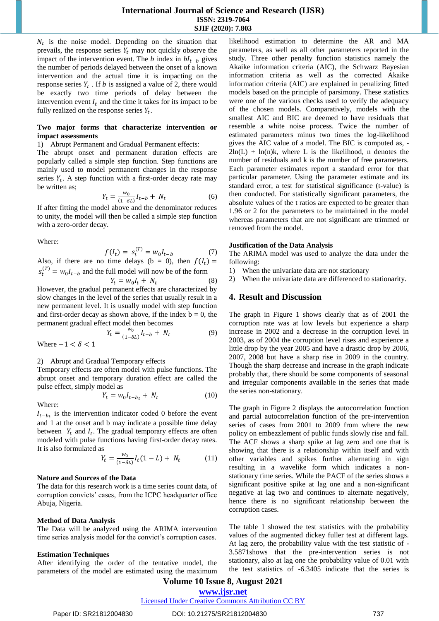$N_t$  is the noise model. Depending on the situation that prevails, the response series  $Y_t$  may not quickly observe the impact of the intervention event. The b index in  $bl_{t-b}$  gives the number of periods delayed between the onset of a known intervention and the actual time it is impacting on the response series  $Y_t$ . If b is assigned a value of 2, there would be exactly two time periods of delay between the intervention event  $I_t$  and the time it takes for its impact to be fully realized on the response series  $Y_t$ .

### **Two major forms that characterize intervention or impact assessments**

1) Abrupt Permanent and Gradual Permanent effects:

The abrupt onset and permanent duration effects are popularly called a simple step function. Step functions are mainly used to model permanent changes in the response series  $Y_t$ . A step function with a first-order decay rate may be written as;

$$
Y_t = \frac{w_0}{(1 - \delta L)} I_{t-b} + N_t \tag{6}
$$

If after fitting the model above and the denominator reduces to unity, the model will then be called a simple step function with a zero-order decay.

Where:

$$
f(I_t) = s_t^{(T)} = w_0 I_{t-b}
$$
 (7)

Also, if there are no time delays (b = 0), then  $f(I_t)$  =  $s_t^{(T)} = w_0 I_{t-b}$  and the full model will now be of the form

$$
Y_t = w_0 I_t + N_t
$$
 (8)  
al permanent effects are characterized by

However, the gradual slow changes in the level of the series that usually result in a new permanent level. It is usually model with step function and first-order decay as shown above, if the index  $b = 0$ , the permanent gradual effect model then becomes

$$
Y_t = \frac{w_0}{(1 - \delta L)} I_{t-b} + N_t \tag{9}
$$

Where  $-1 < \delta < 1$ 

2) Abrupt and Gradual Temporary effects

Temporary effects are often model with pulse functions. The abrupt onset and temporary duration effect are called the pulse effect, simply model as

$$
Y_t = w_0 I_{t-b_t} + N_t \tag{10}
$$

Where:

 $I_{t-b}$  is the intervention indicator coded 0 before the event and 1 at the onset and b may indicate a possible time delay between  $Y_t$  and  $I_t$ . The gradual temporary effects are often modeled with pulse functions having first-order decay rates. It is also formulated as

$$
Y_t = \frac{w_0}{(1 - \delta L)} I_t (1 - L) + N_t \tag{11}
$$

### **Nature and Sources of the Data**

The data for this research work is a time series count data, of corruption convicts' cases, from the ICPC headquarter office Abuja, Nigeria.

### **Method of Data Analysis**

The Data will be analyzed using the ARIMA intervention time series analysis model for the convict's corruption cases.

### **Estimation Techniques**

After identifying the order of the tentative model, the parameters of the model are estimated using the maximum likelihood estimation to determine the AR and MA parameters, as well as all other parameters reported in the study. Three other penalty function statistics namely the Akaike information criteria (AIC), the Schwarz Bayesian information criteria as well as the corrected Akaike information criteria (AIC) are explained in penalizing fitted models based on the principle of parsimony. These statistics were one of the various checks used to verify the adequacy of the chosen models. Comparatively, models with the smallest AIC and BIC are deemed to have residuals that resemble a white noise process. Twice the number of estimated parameters minus two times the log-likelihood gives the AIC value of a model. The BIC is computed as, -  $2\ln(L)$  +  $\ln(n)$ k, where L is the likelihood, n denotes the number of residuals and k is the number of free parameters. Each parameter estimates report a standard error for that particular parameter. Using the parameter estimate and its standard error, a test for statistical significance (t-value) is then conducted. For statistically significant parameters, the absolute values of the t ratios are expected to be greater than 1.96 or 2 for the parameters to be maintained in the model whereas parameters that are not significant are trimmed or removed from the model.

### **Justification of the Data Analysis**

The ARIMA model was used to analyze the data under the following:

- 1) When the univariate data are not stationary
- 2) When the univariate data are differenced to stationarity.

### **4. Result and Discussion**

The graph in Figure 1 shows clearly that as of 2001 the corruption rate was at low levels but experience a sharp increase in 2002 and a decrease in the corruption level in 2003, as of 2004 the corruption level rises and experience a little drop by the year 2005 and have a drastic drop by 2006, 2007, 2008 but have a sharp rise in 2009 in the country. Though the sharp decrease and increase in the graph indicate probably that, there should be some components of seasonal and irregular components available in the series that made the series non-stationary.

The graph in Figure 2 displays the autocorrelation function and partial autocorrelation function of the pre-intervention series of cases from 2001 to 2009 from where the new policy on embezzlement of public funds slowly rise and fall. The ACF shows a sharp spike at lag zero and one that is showing that there is a relationship within itself and with other variables and spikes further alternating in sign resulting in a wavelike form which indicates a nonstationary time series. While the PACF of the series shows a significant positive spike at lag one and a non-significant negative at lag two and continues to alternate negatively, hence there is no significant relationship between the corruption cases.

The table 1 showed the test statistics with the probability values of the augmented dickey fuller test at different lags. At lag zero, the probability value with the test statistic of - 3.5871shows that the pre-intervention series is not stationary, also at lag one the probability value of 0.01 with the test statistics of -6.3405 indicate that the series is

# **Volume 10 Issue 8, August 2021**

### **www.ijsr.net**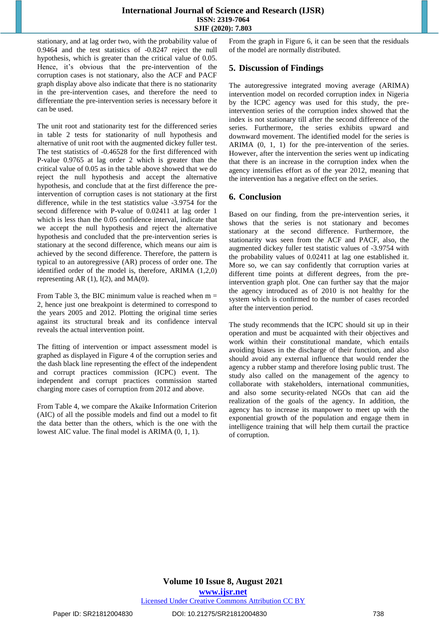stationary, and at lag order two, with the probability value of 0.9464 and the test statistics of -0.8247 reject the null hypothesis, which is greater than the critical value of 0.05. Hence, it's obvious that the pre-intervention of the corruption cases is not stationary, also the ACF and PACF graph display above also indicate that there is no stationarity in the pre-intervention cases, and therefore the need to differentiate the pre-intervention series is necessary before it can be used.

The unit root and stationarity test for the differenced series in table 2 tests for stationarity of null hypothesis and alternative of unit root with the augmented dickey fuller test. The test statistics of -0.46528 for the first differenced with P-value 0.9765 at lag order 2 which is greater than the critical value of 0.05 as in the table above showed that we do reject the null hypothesis and accept the alternative hypothesis, and conclude that at the first difference the preintervention of corruption cases is not stationary at the first difference, while in the test statistics value -3.9754 for the second difference with P-value of 0.02411 at lag order 1 which is less than the 0.05 confidence interval, indicate that we accept the null hypothesis and reject the alternative hypothesis and concluded that the pre-intervention series is stationary at the second difference, which means our aim is achieved by the second difference. Therefore, the pattern is typical to an autoregressive (AR) process of order one. The identified order of the model is, therefore, ARIMA (1,2,0) representing AR  $(1)$ ,  $I(2)$ , and MA $(0)$ .

From Table 3, the BIC minimum value is reached when  $m =$ 2, hence just one breakpoint is determined to correspond to the years 2005 and 2012. Plotting the original time series against its structural break and its confidence interval reveals the actual intervention point.

The fitting of intervention or impact assessment model is graphed as displayed in Figure 4 of the corruption series and the dash black line representing the effect of the independent and corrupt practices commission (ICPC) event. The independent and corrupt practices commission started charging more cases of corruption from 2012 and above.

From Table 4, we compare the Akaike Information Criterion (AIC) of all the possible models and find out a model to fit the data better than the others, which is the one with the lowest AIC value. The final model is ARIMA (0, 1, 1).

From the graph in Figure 6, it can be seen that the residuals of the model are normally distributed.

### **5. Discussion of Findings**

The autoregressive integrated moving average (ARIMA) intervention model on recorded corruption index in Nigeria by the ICPC agency was used for this study, the preintervention series of the corruption index showed that the index is not stationary till after the second difference of the series. Furthermore, the series exhibits upward and downward movement. The identified model for the series is ARIMA (0, 1, 1) for the pre-intervention of the series. However, after the intervention the series went up indicating that there is an increase in the corruption index when the agency intensifies effort as of the year 2012, meaning that the intervention has a negative effect on the series.

### **6. Conclusion**

Based on our finding, from the pre-intervention series, it shows that the series is not stationary and becomes stationary at the second difference. Furthermore, the stationarity was seen from the ACF and PACF, also, the augmented dickey fuller test statistic values of -3.9754 with the probability values of 0.02411 at lag one established it. More so, we can say confidently that corruption varies at different time points at different degrees, from the preintervention graph plot. One can further say that the major the agency introduced as of 2010 is not healthy for the system which is confirmed to the number of cases recorded after the intervention period.

The study recommends that the ICPC should sit up in their operation and must be acquainted with their objectives and work within their constitutional mandate, which entails avoiding biases in the discharge of their function, and also should avoid any external influence that would render the agency a rubber stamp and therefore losing public trust. The study also called on the management of the agency to collaborate with stakeholders, international communities, and also some security-related NGOs that can aid the realization of the goals of the agency. In addition, the agency has to increase its manpower to meet up with the exponential growth of the population and engage them in intelligence training that will help them curtail the practice of corruption.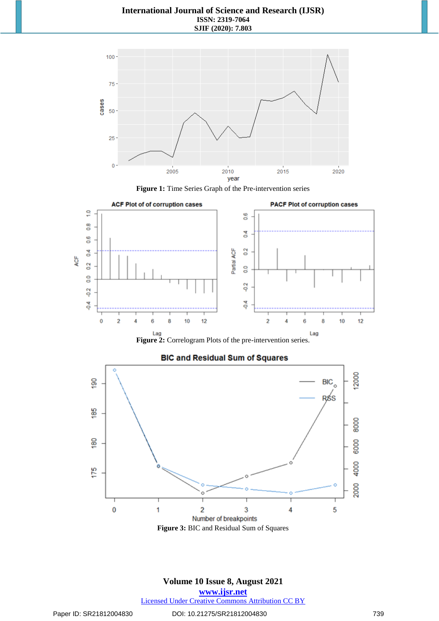









### **BIC and Residual Sum of Squares**

### **Volume 10 Issue 8, August 2021 www.ijsr.net**

Licensed Under Creative Commons Attribution CC BY

### Paper ID: SR21812004830 DOI: 10.21275/SR21812004830 739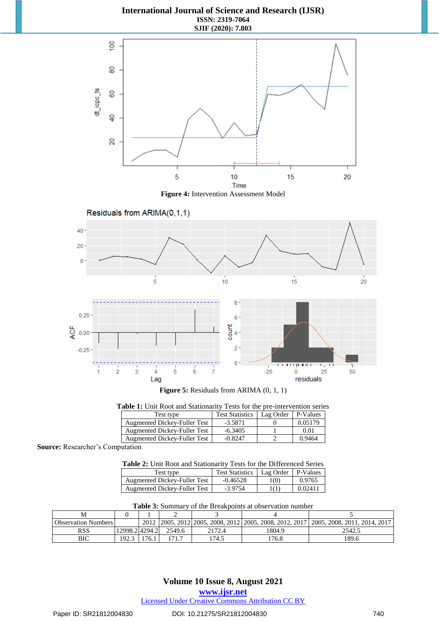

**Figure 4:** Intervention Assessment Model

Residuals from ARIMA(0,1,1)





**Figure 5:** Residuals from ARIMA (0, 1, 1)

| Table 1: Unit Root and Stationarity Tests for the pre-intervention series |                                     |                        |           |          |  |
|---------------------------------------------------------------------------|-------------------------------------|------------------------|-----------|----------|--|
|                                                                           | Test type                           | <b>Test Statistics</b> | Lag Order | P-Values |  |
|                                                                           | Augmented Dickey-Fuller Test        | $-3.5871$              |           | 0.05179  |  |
|                                                                           | <b>Augmented Dickey-Fuller Test</b> | $-6.3405$              |           | 0.01     |  |
|                                                                           | <b>Augmented Dickey-Fuller Test</b> | $-0.8247$              |           | 0.9464   |  |

**Source:** Researcher's Computation

| Table 2: Unit Root and Stationarity Tests for the Differenced Series |  |  |
|----------------------------------------------------------------------|--|--|
|                                                                      |  |  |

| Test type                           | <b>Test Statistics</b> | Lag Order | P-Values |
|-------------------------------------|------------------------|-----------|----------|
| <b>Augmented Dickey-Fuller Test</b> | $-0.46528$             | 100       | 0.9765   |
| Augmented Dickey-Fuller Test        | $-3.9754$              | 1(1)      | 0.02411  |

| <b>Table 5.</b> Building v of the Dicanbollits at Obset valion number |               |      |        |        |                                                    |                                |
|-----------------------------------------------------------------------|---------------|------|--------|--------|----------------------------------------------------|--------------------------------|
|                                                                       |               |      |        |        |                                                    |                                |
| <b>Observation Numbers</b>                                            |               | 2012 |        |        | 2005, 2012 2005, 2008, 2012 2005, 2008, 2012, 2017 | 1 2005, 2008, 2011, 2014, 2017 |
| RSS                                                                   | 12998.24294.2 |      | 2549.6 | 2172.4 | 1804.9                                             | 2542.5                         |
| BIC                                                                   | 192.3         |      |        | '74.5  | 176.8                                              | 189.6                          |

### **3:** Summary of the Breakpoints at observation number

### **Volume 10 Issue 8, August 2021**

**www.ijsr.net**

Licensed Under Creative Commons Attribution CC BY

### Paper ID: SR21812004830 DOI: 10.21275/SR21812004830 740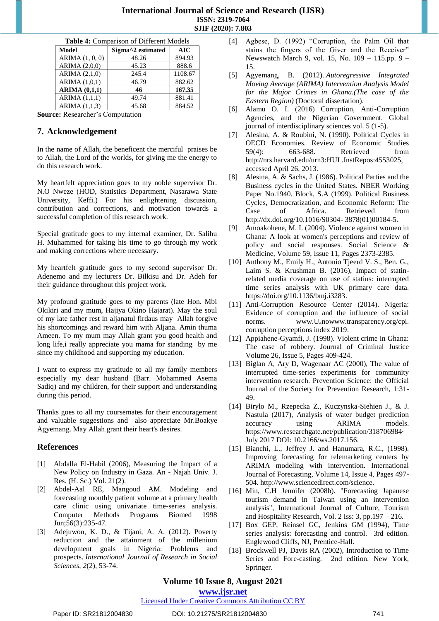| <b>Table 4: Comparison of Different Models</b> |                                                |            |  |  |
|------------------------------------------------|------------------------------------------------|------------|--|--|
| <b>Model</b>                                   | Sigma <sup><math>\land</math>2</sup> estimated | <b>AIC</b> |  |  |
| ARIMA $(1, 0, 0)$                              | 48.26                                          | 894.93     |  |  |
| ARIMA (2,0,0)                                  | 45.23                                          | 888.6      |  |  |
| ARIMA (2,1,0)                                  | 245.4                                          | 1108.67    |  |  |
| ARIMA (1,0,1)                                  | 46.79                                          | 882.62     |  |  |
| ARIMA $(0,1,1)$                                | 46                                             | 167.35     |  |  |
| ARIMA $(1,1,1)$                                | 49.74                                          | 881.41     |  |  |
| ARIMA (1,1,3)                                  | 45.68                                          | 884.52     |  |  |
| aar Daasanskan's Camputation                   |                                                |            |  |  |

**Source:** Researcher's Computation

### **7. Acknowledgement**

In the name of Allah, the beneficent the merciful praises be to Allah, the Lord of the worlds, for giving me the energy to do this research work.

My heartfelt appreciation goes to my noble supervisor Dr. N.O Nweze (HOD, Statistics Department, Nasarawa State University, Keffi.) For his enlightening discussion, contribution and corrections, and motivation towards a successful completion of this research work.

Special gratitude goes to my internal examiner, Dr. Salihu H. Muhammed for taking his time to go through my work and making corrections where necessary.

My heartfelt gratitude goes to my second supervisor Dr. Adenemo and my lecturers Dr. Bilkisu and Dr. Adeh for their guidance throughout this project work.

My profound gratitude goes to my parents (late Hon. Mbi Okikiri and my mum, Hajiya Okino Hajarat). May the soul of my late father rest in aljanatul firdaus may Allah forgive his shortcomings and reward him with Aljana. Amin thuma Ameen. To my mum may Allah grant you good health and long life,i really appreciate you mama for standing by me since my childhood and supporting my education.

I want to express my gratitude to all my family members especially my dear husband (Barr. Mohammed Asema Sadiq) and my children, for their support and understanding during this period.

Thanks goes to all my coursemates for their encouragement and valuable suggestions and also appreciate Mr.Boakye Agyemang. May Allah grant their heart's desires.

### **References**

- [1] Abdalla El-Habil (2006), Measuring the Impact of a New Policy on Industry in Gaza. An - Najah Univ. J. Res. (H. Sc.) Vol. 21(2).
- [2] Abdel-Aal RE, Mangoud AM. Modeling and forecasting monthly patient volume at a primary health care clinic using univariate time-series analysis. Computer Methods Programs Biomed 1998 Jun;56(3):235-47.
- [3] Adejuwon, K. D., & Tijani, A. A. (2012). Poverty reduction and the attainment of the millenium development goals in Nigeria: Problems and prospects. *International Journal of Research in Social Sciences*, *2*(2), 53-74.
- [4] Agbese, D. (1992) "Corruption, the Palm Oil that stains the fingers of the Giver and the Receiver" Newswatch March 9, vol. 15, No. 109 – 115.pp. 9 – 15.
- [5] Agyemang, B. (2012). *Autoregressive Integrated Moving Average (ARIMA) Intervention Analysis Model for the Major Crimes in Ghana.(The case of the Eastern Region)* (Doctoral dissertation).
- [6] Alamu O. I. (2016) Corruption, Anti-Corruption Agencies, and the Nigerian Government. Global journal of interdisciplinary sciences vol. 5 (1-5).
- [7] Alesina, A. & Roubini, N. (1990). Political Cycles in OECD Economies. Review of Economic Studies 59(4): 663-688. Retrieved from http://nrs.harvard.edu/urn3:HUL.InstRepos:4553025, accessed April 26, 2013.
- [8] Alesina, A. & Sachs, J. (1986). Political Parties and the Business cycles in the United States. NBER Working Paper No.1940. Block, S.A (1999). Political Business Cycles, Democratization, and Economic Reform: The Case of Africa. Retrieved from http://dx.doi.org/10.1016/S0304- 3878(01)00184-5.
- [9] Amoakohene, M. I. (2004). Violence against women in Ghana: A look at women's perceptions and review of policy and social responses. Social Science & Medicine, Volume 59, Issue 11, Pages 2373-2385.
- [10] Anthony M., Emily H., Antonio Tjeerd V. S., Ben. G., Laim S. & Krushman B. (2016), Impact of statinrelated media coverage on use of statins: interrupted time series analysis with UK primary care data. [https://doi.org/10.1136/bmj.i3283.](https://doi.org/10.1136/bmj.i3283)
- [11] Anti-Corruption Resource Center (2014). Nigeria: Evidence of corruption and the influence of social norms. [www.U](http://www.u4no/)<sub>[4](http://www.u4no/)</sub>nowww.transparency.org/cpi. corruption perceptions index 2019.
- [12] Appiahene-Gyamfi, J. (1998). Violent crime in Ghana: The case of robbery. Journal of Criminal Justice Volume 26, Issue 5, Pages 409-424.
- [13] Biglan A, Ary D, Wagenaar AC (2000), The value of interrupted time-series experiments for community intervention research. Prevention Science: the Official Journal of the Society for Prevention Research, 1:31- 49.
- [14] Birylo M., Rzepecka Z., Kuczynska-Siehien J., & J. Nastula (2017), Analysis of water budget prediction accuracy using ARIMA models. [https://www.researchgate.net/publication/318706984·](https://www.researchgate.net/publication/318706984%C2%B7) July 2017 DOI: 10.2166/ws.2017.156.
- [15] Bianchi, L., Jeffrey J. and Hanumara, R.C., (1998). Improving forecasting for telemarketing centers by ARIMA modeling with intervention. International Journal of Forecasting, Volume 14, Issue 4, Pages 497- 504. http://www.sciencedirect.com/science.
- [16] Min, C.H Jennifer (2008b). "Forecasting Japanese tourism demand in Taiwan using an intervention analysis", International Journal of Culture, Tourism and Hospitality Research, Vol. 2 Iss: 3, pp.197 – 216.
- [17] Box GEP, Reinsel GC, Jenkins GM (1994), Time series analysis: forecasting and control. 3rd edition. Englewood Cliffs, NJ, Prentice-Hall.
- [18] Brockwell PJ, Davis RA (2002), Introduction to Time Series and Fore-casting. 2nd edition. New York, Springer.

### **Volume 10 Issue 8, August 2021**

**www.ijsr.net**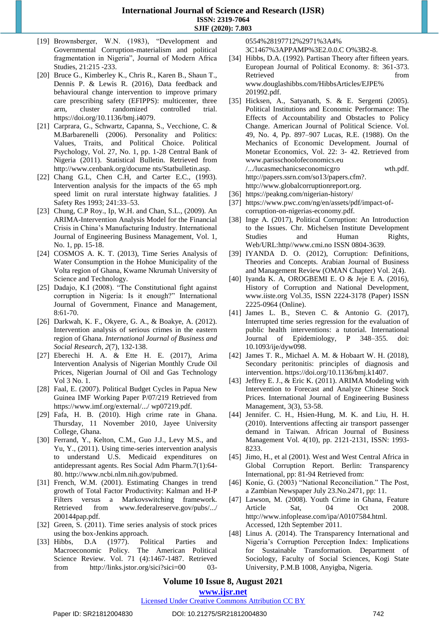- [19] Brownsberger, W.N. (1983), "Development and Governmental Corruption-materialism and political fragmentation in Nigeria", Journal of Modern Africa Studies, 21:215 -233.
- [20] Bruce G., Kimberley K., Chris R., Karen B., Shaun T., Dennis P. & Lewis R. (2016), Data feedback and behavioural change intervention to improve primary care prescribing safety (EFIPPS): multicenter, three arm, cluster randomized controlled trial. [https://doi.org/10.1136/bmj.i4079.](https://doi.org/10.1136/bmj.i4079)
- [21] Carprara, G., Schwartz, Capanna, S., Vecchione, C. & M.Barbarenelli (2006). Personality and Politics: Values, Traits, and Political Choice. Political Psychology, Vol. 27, No. 1, pp. 1-28 Central Bank of Nigeria (2011). Statistical Bulletin. Retrieved from http://www.cenbank.org/docume nts/Statbulletin.asp.
- [22] Chang G.L, Chen C.H, and Carter E.C., (1993). Intervention analysis for the impacts of the 65 mph speed limit on rural interstate highway fatalities. J Safety Res 1993; 241:33–53.
- [23] Chung, C.P Roy., Ip, W.H. and Chan, S.L., (2009). An ARIMA-Intervention Analysis Model for the Financial Crisis in China's Manufacturing Industry. International Journal of Engineering Business Management, Vol. 1, No. 1, pp. 15-18.
- [24] COSMOS A. K. T. (2013), Time Series Analysis of Water Consumption in the Hohoe Municipality of the Volta region of Ghana, Kwame Nkrumah University of Science and Technology.
- [25] Dadajo, K.I (2008). "The Constitutional fight against corruption in Nigeria: Is it enough?" International Journal of Government, Finance and Management, 8:61-70.
- [26] Darkwah, K. F., Okyere, G. A., & Boakye, A. (2012). Intervention analysis of serious crimes in the eastern region of Ghana. *International Journal of Business and Social Research*, *2*(7), 132-138.
- [27] Eberechi H. A. & Ette H. E. (2017), Arima Intervention Analysis of Nigerian Monthly Crude Oil Prices, Nigerian Journal of Oil and Gas Technology Vol 3 No. 1.
- [28] Faal, E. (2007). Political Budget Cycles in Papua New Guinea IMF Working Paper P/07/219 Retrieved from https://www.imf.org/external/.../ wp07219.pdf.
- [29] Fafa, H. B. (2010). High crime rate in Ghana. Thursday, 11 November 2010, Jayee University College, Ghana.
- [30] Ferrand, Y., Kelton, C.M., Guo J.J., Levy M.S., and Yu, Y., (2011). Using time-series intervention analysis to understand U.S. Medicaid expenditures on antidepressant agents. Res Social Adm Pharm.7(1):64- 80. http://www.ncbi.nlm.nih.gov/pubmed.
- [31] French, W.M. (2001). Estimating Changes in trend growth of Total Factor Productivity: Kalman and H-P Filters versus a Markovswitching framework. Retrieved from www.federalreserve.gov/pubs/.../ 200144pap.pdf.
- [32] Green, S. (2011). Time series analysis of stock prices using the box-Jenkins approach.
- [33] Hibbs, D.A (1977). Political Parties and Macroeconomic Policy. The American Political Science Review. Vol. 71 (4):1467-1487. Retrieved from http://links.jstor.org/sici?sici=00 03-

0554%28197712%2971%3A4%

3C1467%3APPAMP%3E2.0.0.C O%3B2-8.

- [34] Hibbs, D.A. (1992). Partisan Theory after fifteen years. European Journal of Political Economy. 8: 361-373. Retrieved from www.douglashibbs.com/HibbsArticles/EJPE% 201992.pdf.
- [35] Hicksen, A., Satyanath, S. & E. Sergenti (2005). Political Institutions and Economic Performance: The Effects of Accountability and Obstacles to Policy Change. American Journal of Political Science. Vol. 49, No. 4, Pp. 897–907 Lucas, R.E. (1988). On the Mechanics of Economic Development. Journal of Monetar Economics, Vol. 22: 3- 42. Retrieved from www.parisschoolofeconomics.eu /.../lucasmechanicseconomicgro wth.pdf. [http://papers.ssrn.com/so13/papers.cfm?](http://papers.ssrn.com/so13/papers.cfm). [http://www.globalcorruptionreport.org.](http://www.globalcorruptionreport.org/)
- [36] <https://peakng.com/nigerian-history/>
- [37] [https://www.pwc.com/ng/en/assets/pdf/impact-of](https://www.pwc.com/ng/en/assets/pdf/impact-of-corruption-on-nigerias-economy.pdf)[corruption-on-nigerias-economy.pdf.](https://www.pwc.com/ng/en/assets/pdf/impact-of-corruption-on-nigerias-economy.pdf)
- [38] Inge A. (2017), Political Corruption: An Introduction to the Issues. Chr. Michelsen Institute Development Studies and Human Rights, Web/URL:http//www.cmi.no ISSN 0804-3639.
- [39] IYANDA D. O. (2012), Corruption: Definitions, Theories and Concepts. Arabian Journal of Business and Management Review (OMAN Chapter) Vol. 2(4).
- [40] Iyanda K. A, OROGBEMI E. O & Jeje E A. (2016), History of Corruption and National Development, www.iiste.org Vol.35, ISSN 2224-3178 (Paper) ISSN 2225-0964 (Online).
- [41] James L. B., Steven C. & Antonio G. (2017), Interrupted time series regression for the evaluation of public health interventions: a tutorial. International Journal of Epidemiology, P 348–355. doi: 10.1093/ije/dyw098.
- [42] James T. R., Michael A. M. & Hobaart W. H. (2018), Secondary peritonitis: principles of diagnosis and intervention. [https://doi.org/10.1136/bmj.k1407.](https://doi.org/10.1136/bmj.k1407)
- [43] Jeffrey E. J., & Eric K. (2011). ARIMA Modeling with Intervention to Forecast and Analyze Chinese Stock Prices. International Journal of Engineering Business Management, 3(3), 53-58.
- [44] Jennifer. C. H., Hsien-Hung, M. K. and Liu, H. H. (2010). Interventions affecting air transport passenger demand in Taiwan. African Journal of Business Management Vol. 4(10), pp. 2121-2131, ISSN: 1993- 8233.
- [45] Jimo, H., et al (2001). West and West Central Africa in Global Corruption Report. Berlin: Transparency International, pp: 81-94 Retrieved from:
- [46] Konie, G. (2003) "National Reconciliation." The Post, a Zambian Newspaper July 23.No.2471, pp: 11.
- [47] Lawson, M. (2008). Youth Crime in Ghana, Feature Article Sat, 04 Oct 2008. http://www.infoplease.com/ipa/A0107584.html. Accessed, 12th September 2011.
- [48] Linus A. (2014). The Transparency International and Nigeria's Corruption Perception Index: Implications for Sustainable Transformation. Department of Sociology, Faculty of Social Sciences, Kogi State University, P.M.B 1008, Anyigba, Nigeria.

### **Volume 10 Issue 8, August 2021**

**www.ijsr.net**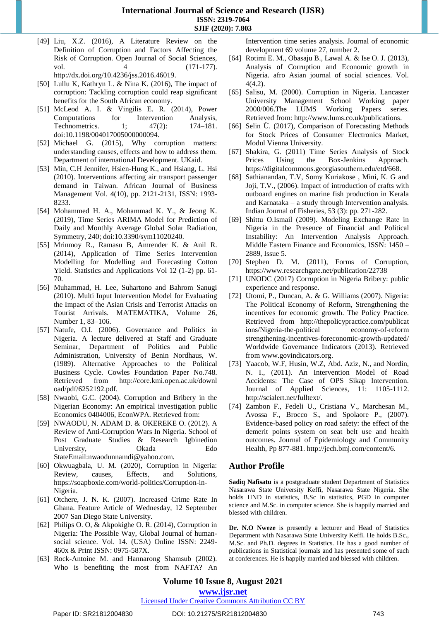[49] Liu, X.Z. (2016), A Literature Review on the Definition of Corruption and Factors Affecting the Risk of Corruption. Open Journal of Social Sciences, vol. 4 (171-177). [http://dx.doi.org/10.4236/jss.2016.46019.](http://dx.doi.org/10.4236/jss.2016.46019)

[50] Lullu K, Kathryn L. & Nina K. (2016), The impact of corruption: Tackling corruption could reap significant benefits for the South African economy.

- [51] McLeod A. I. & Vingilis E. R. (2014), Power Computations for Intervention Analysis, Technometrics. 1; 47(2): 174–181. doi:10.1198/004017005000000094.
- [52] Michael G. (2015), Why corruption matters: understanding causes, effects and how to address them. Department of international Development. UKaid.
- [53] Min, C.H Jennifer, Hsien-Hung K., and Hsiang, L. Hsi (2010). Interventions affecting air transport passenger demand in Taiwan. African Journal of Business Management Vol. 4(10), pp. 2121-2131, ISSN: 1993- 8233.
- [54] Mohammed H. A., Mohammad K. Y., & Jeong K. (2019), Time Series ARIMA Model for Prediction of Daily and Monthly Average Global Solar Radiation, Symmetry, 240; doi:10.3390/sym11020240.
- [55] Mrinmoy R., Ramasu B, Amrender K. & Anil R. (2014), Application of Time Series Intervention Modelling for Modelling and Forecasting Cotton Yield. Statistics and Applications Vol 12 (1-2) pp. 61- 70.
- [56] Muhammad, H. Lee, Suhartono and Bahrom Sanugi (2010). Multi Input Intervention Model for Evaluating the Impact of the Asian Crisis and Terrorist Attacks on Tourist Arrivals. MATEMATIKA, Volume 26, Number 1, 83–106.
- [57] Natufe, O.I. (2006). Governance and Politics in Nigeria. A lecture delivered at Staff and Graduate Seminar, Department of Politics and Public Administration, University of Benin Nordhaus, W. (1989). Alternative Approaches to the Political Business Cycle. Cowles Foundation Paper No.748. Retrieved from http://core.kmi.open.ac.uk/downl oad/pdf/6252192.pdf.
- [58] Nwaobi, G.C. (2004). Corruption and Bribery in the Nigerian Economy: An empirical investigation public Economics 0404006, EconWPA. Retrieved from:
- [59] NWAODU, N. ADAM D. & OKEREKE O. (2012). A Review of Anti-Corruption Wars In Nigeria. School of Post Graduate Studies & Research Igbinedion University, Okada Edo StateEmail:nwaodunnamdi@yahoo.com.
- [60] Okwuagbala, U. M. (2020), Corruption in Nigeria: Review, causes, Effects, and Solutions, [https://soapboxie.com/world-politics/Corruption-in-](https://soapboxie.com/world-politics/Corruption-in-Nigeria)[Nigeria.](https://soapboxie.com/world-politics/Corruption-in-Nigeria)
- [61] Otchere, J. N. K. (2007). Increased Crime Rate In Ghana. Feature Article of Wednesday, 12 September 2007 San Diego State University.
- [62] Philips O. O, & Akpokighe O. R. (2014), Corruption in Nigeria: The Possible Way, Global Journal of humansocial science. Vol. 14. (USA) Online ISSN: 2249- 460x & Print ISSN: 0975-587X.
- [63] Rock-Antoine M. and Hannarong Shamsub (2002). Who is benefiting the most from NAFTA? An

Intervention time series analysis. Journal of economic development 69 volume 27, number 2.

- [64] Rotimi E. M., Obasaju B., Lawal A. & Ise O. J. (2013), Analysis of Corruption and Economic growth in Nigeria. afro Asian journal of social sciences. Vol. 4(4.2).
- [65] Salisu, M. (2000). Corruption in Nigeria. Lancaster University Management School Working paper 2000/006.The LUMS Working Papers series. Retrieved from: [http://www.lums.co.uk/publications.](http://www.lums.co.uk/publications)
- [66] Selin Ü. (2017), Comparison of Forecasting Methods for Stock Prices of Consumer Electronics Market, Modul Vienna University.
- [67] Shakira, G. (2011) Time Series Analysis of Stock Prices Using the Box-Jenkins Approach. [https://digitalcommons.georgiasouthern.edu/etd/668.](https://digitalcommons.georgiasouthern.edu/etd/668)
- [68] Sathianandan, T.V, Somy Kuriakose , Mini, K. G and Joji, T.V., (2006). Impact of introduction of crafts with outboard engines on marine fish production in Kerala and Karnataka – a study through Intervention analysis. Indian Journal of Fisheries, 53 (3): pp. 271-282.
- [69] Shittu O.Ismail (2009). Modeling Exchange Rate in Nigeria in the Presence of Financial and Political Instability: An Intervention Analysis Approach. Middle Eastern Finance and Economics, ISSN: 1450 – 2889, Issue 5.
- [70] Stephen D. M. (2011), Forms of Corruption, https://www.researchgate.net/publication/22738
- [71] UNODC (2017) Corruption in Nigeria Bribery: public experience and response.
- [72] Utomi, P., Duncan, A. & G. Williams (2007). Nigeria: The Political Economy of Reform, Strengthening the incentives for economic growth. The Policy Practice. Retrieved from http://thepolicypractice.com/publicat ions/Nigeria-the-political economy-of-reform strengthening-incentives-foreconomic-growth-updated/ Worldwide Governance Indicators (2013). Retrieved from [www.govindicators.org.](http://www.govindicators.org/)
- [73] Yaacob, W.F, Husin, W.Z, Abd. Aziz, N., and Nordin, N. I., (2011). An Intervention Model of Road Accidents: The Case of OPS Sikap Intervention. Journal of Applied Sciences, 11: 1105-1112. http://scialert.net/fulltext/.
- [74] Zambon F., Fedeli U., Cristiana V., Marchesan M., Avossa F., Brocco S., and Spolaore P., (2007). Evidence-based policy on road safety: the effect of the demerit points system on seat belt use and health outcomes. Journal of Epidemiology and Community Health, Pp 877-881. http://jech.bmj.com/content/6.

### **Author Profile**

**Sadiq Nafisatu** is a postgraduate student Department of Statistics Nasarawa State University Keffi, Nasarawa State Nigeria. She holds HND in statistics, B.Sc in statistics, PGD in computer science and M.Sc. in computer science. She is happily married and blessed with children.

**Dr. N.O Nweze** is presently a lecturer and Head of Statistics Department with Nasarawa State University Keffi. He holds B.Sc., M.Sc. and Ph.D. degrees in Statistics. He has a good number of publications in Statistical journals and has presented some of such at conferences. He is happily married and blessed with children.